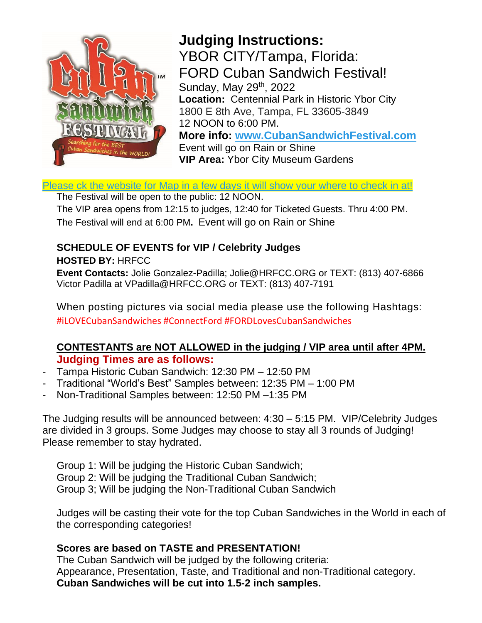

# **Judging Instructions:**

YBOR CITY/Tampa, Florida: FORD Cuban Sandwich Festival! Sunday, May 29<sup>th</sup>, 2022 **Location:** Centennial Park in Historic Ybor City 1800 E 8th Ave, Tampa, FL 33605-3849 12 NOON to 6:00 PM. **More info: [www.CubanSandwichFestival.com](file:///C:/Users/Jolie/Dropbox%20(LTM%20Dropbox)/%23%202022%20Files/%23%202022%20Almost%20all%20CSF%20Past%20Events/%23%202021%20CSF%20Series/Kissimmee%206th%20Annual/www.CubanSandwichFestival.com)**  Event will go on Rain or Shine **VIP Area:** Ybor City Museum Gardens

[Please ck the website for Map in a few days it will show your where to check in at!](http://www.thecubansandwichfestval.com/)

The Festival will be open to the public: 12 NOON.

The VIP area opens from 12:15 to judges, 12:40 for Ticketed Guests. Thru 4:00 PM. The Festival will end at 6:00 PM**.** Event will go on Rain or Shine

#### **SCHEDULE OF EVENTS for VIP / Celebrity Judges HOSTED BY:** HRFCC

**Event Contacts:** Jolie Gonzalez-Padilla; Jolie@HRFCC.ORG or TEXT: (813) 407-6866 Victor Padilla at VPadilla@HRFCC.ORG or TEXT: (813) 407-7191

When posting pictures via social media please use the following Hashtags: #iLOVECubanSandwiches #ConnectFord #FORDLovesCubanSandwiches

#### **CONTESTANTS are NOT ALLOWED in the judging / VIP area until after 4PM. Judging Times are as follows:**

- Tampa Historic Cuban Sandwich: 12:30 PM 12:50 PM
- Traditional "World's Best" Samples between: 12:35 PM 1:00 PM
- Non-Traditional Samples between: 12:50 PM –1:35 PM

The Judging results will be announced between: 4:30 – 5:15 PM. VIP/Celebrity Judges are divided in 3 groups. Some Judges may choose to stay all 3 rounds of Judging! Please remember to stay hydrated.

Group 1: Will be judging the Historic Cuban Sandwich; Group 2: Will be judging the Traditional Cuban Sandwich; Group 3; Will be judging the Non-Traditional Cuban Sandwich

Judges will be casting their vote for the top Cuban Sandwiches in the World in each of the corresponding categories!

#### **Scores are based on TASTE and PRESENTATION!**

The Cuban Sandwich will be judged by the following criteria: Appearance, Presentation, Taste, and Traditional and non-Traditional category. **Cuban Sandwiches will be cut into 1.5-2 inch samples.**